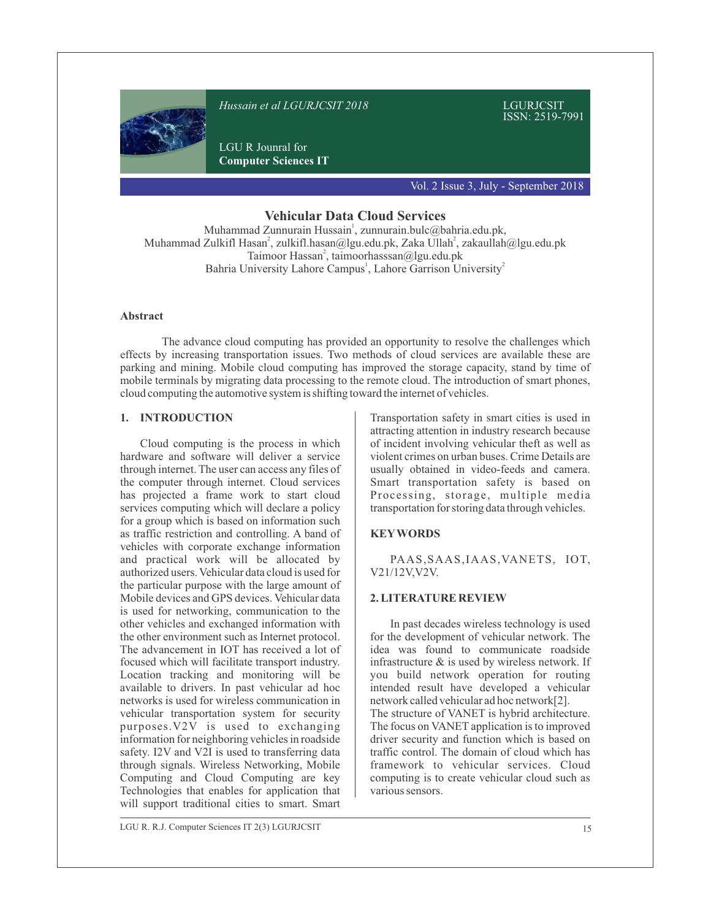

**Vehicular Data Cloud Services**

Muhammad Zunnurain Hussain<sup>1</sup>, zunnurain.bulc@bahria.edu.pk, Muhammad Zulkifl Hasan<sup>2</sup>, zulkifl.hasan@lgu.edu.pk, Zaka Ullah<sup>2</sup>, zakaullah@lgu.edu.pk Taimoor Hassan<sup>2</sup>, taimoorhasssan@lgu.edu.pk Bahria University Lahore Campus<sup>1</sup>, Lahore Garrison University<sup>2</sup>

### **Abstract**

The advance cloud computing has provided an opportunity to resolve the challenges which effects by increasing transportation issues. Two methods of cloud services are available these are parking and mining. Mobile cloud computing has improved the storage capacity, stand by time of mobile terminals by migrating data processing to the remote cloud. The introduction of smart phones, cloud computing the automotive system is shifting toward the internet of vehicles.

## **1. INTRODUCTION**

Cloud computing is the process in which hardware and software will deliver a service through internet. The user can access any files of the computer through internet. Cloud services has projected a frame work to start cloud services computing which will declare a policy for a group which is based on information such as traffic restriction and controlling. A band of vehicles with corporate exchange information and practical work will be allocated by authorized users. Vehicular data cloud is used for the particular purpose with the large amount of Mobile devices and GPS devices. Vehicular data is used for networking, communication to the other vehicles and exchanged information with the other environment such as Internet protocol. The advancement in IOT has received a lot of focused which will facilitate transport industry. Location tracking and monitoring will be available to drivers. In past vehicular ad hoc networks is used for wireless communication in vehicular transportation system for security purposes.V2V is used to exchanging information for neighboring vehicles in roadside safety. I2V and V2I is used to transferring data through signals. Wireless Networking, Mobile Computing and Cloud Computing are key Technologies that enables for application that will support traditional cities to smart. Smart

Transportation safety in smart cities is used in attracting attention in industry research because of incident involving vehicular theft as well as violent crimes on urban buses. Crime Details are usually obtained in video-feeds and camera. Smart transportation safety is based on Processing, storage, multiple media transportation for storing data through vehicles.

# **KEYWORDS**

PAAS,SAAS,IAAS,VANETS, IOT, V21/12V,V2V.

### **2. LITERATURE REVIEW**

In past decades wireless technology is used for the development of vehicular network. The idea was found to communicate roadside infrastructure & is used by wireless network. If you build network operation for routing intended result have developed a vehicular network called vehicular ad hoc network[2]. The structure of VANET is hybrid architecture. The focus on VANET application is to improved driver security and function which is based on traffic control. The domain of cloud which has framework to vehicular services. Cloud computing is to create vehicular cloud such as various sensors.

LGU R. R.J. Computer Sciences IT 2(3) LGURJCSIT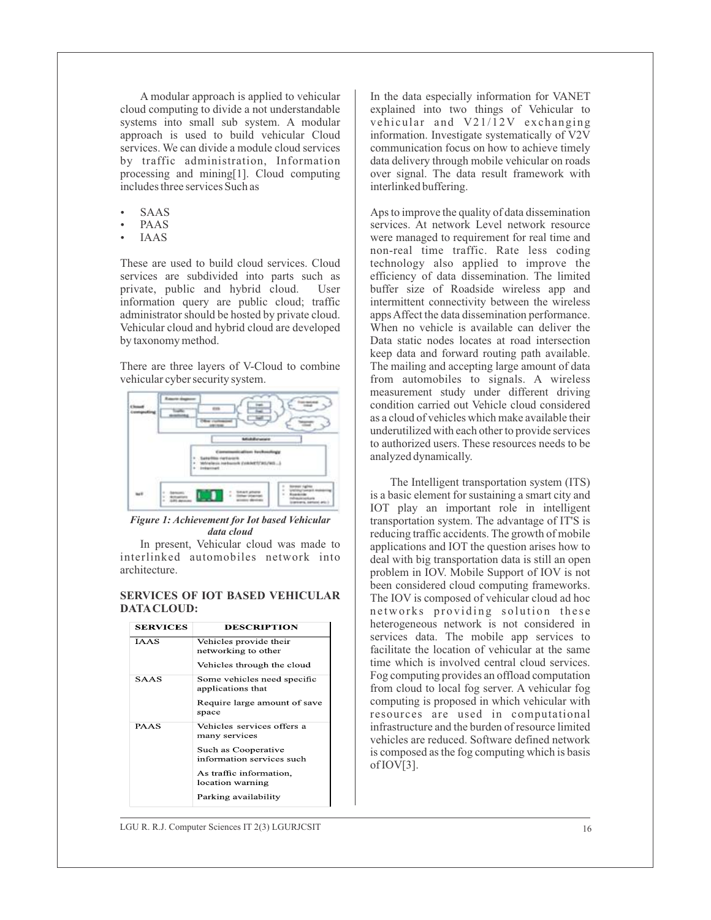A modular approach is applied to vehicular cloud computing to divide a not understandable systems into small sub system. A modular approach is used to build vehicular Cloud services. We can divide a module cloud services by traffic administration, Information processing and mining[1]. Cloud computing includes three services Such as

- **SAAS**
- PAAS
- **IAAS**

These are used to build cloud services. Cloud services are subdivided into parts such as private, public and hybrid cloud. User information query are public cloud; traffic administrator should be hosted by private cloud. Vehicular cloud and hybrid cloud are developed by taxonomy method.

There are three layers of V-Cloud to combine vehicular cyber security system.



*Figure 1: Achievement for Iot based Vehicular data cloud* 

In present, Vehicular cloud was made to interlinked automobiles network into architecture.

## **SERVICES OF IOT BASED VEHICULAR DATACLOUD:**

| <b>SERVICES</b> | <b>DESCRIPTION</b>                                                                                                                                                     |  |
|-----------------|------------------------------------------------------------------------------------------------------------------------------------------------------------------------|--|
| <b>IAAS</b>     | Vehicles provide their<br>networking to other<br>Vehicles through the cloud                                                                                            |  |
| <b>SAAS</b>     | Some vehicles need specific<br>applications that<br>Require large amount of save<br>space                                                                              |  |
| <b>PAAS</b>     | Vehicles services offers a<br>many services<br>Such as Cooperative<br>information services such<br>As traffic information,<br>location warning<br>Parking availability |  |

In the data especially information for VANET explained into two things of Vehicular to vehicular and  $V21/\overline{1}2V$  exchanging information. Investigate systematically of V2V communication focus on how to achieve timely data delivery through mobile vehicular on roads over signal. The data result framework with interlinked buffering.

Aps to improve the quality of data dissemination services. At network Level network resource were managed to requirement for real time and non-real time traffic. Rate less coding technology also applied to improve the efficiency of data dissemination. The limited buffer size of Roadside wireless app and intermittent connectivity between the wireless apps Affect the data dissemination performance. When no vehicle is available can deliver the Data static nodes locates at road intersection keep data and forward routing path available. The mailing and accepting large amount of data from automobiles to signals. A wireless measurement study under different driving condition carried out Vehicle cloud considered as a cloud of vehicles which make available their underutilized with each other to provide services to authorized users. These resources needs to be analyzed dynamically.

The Intelligent transportation system (ITS) is a basic element for sustaining a smart city and IOT play an important role in intelligent transportation system. The advantage of IT'S is reducing traffic accidents. The growth of mobile applications and IOT the question arises how to deal with big transportation data is still an open problem in IOV. Mobile Support of IOV is not been considered cloud computing frameworks. The IOV is composed of vehicular cloud ad hoc networks providing solution these heterogeneous network is not considered in services data. The mobile app services to facilitate the location of vehicular at the same time which is involved central cloud services. Fog computing provides an offload computation from cloud to local fog server. A vehicular fog computing is proposed in which vehicular with resources are used in computational infrastructure and the burden of resource limited vehicles are reduced. Software defined network is composed as the fog computing which is basis of IOV[3].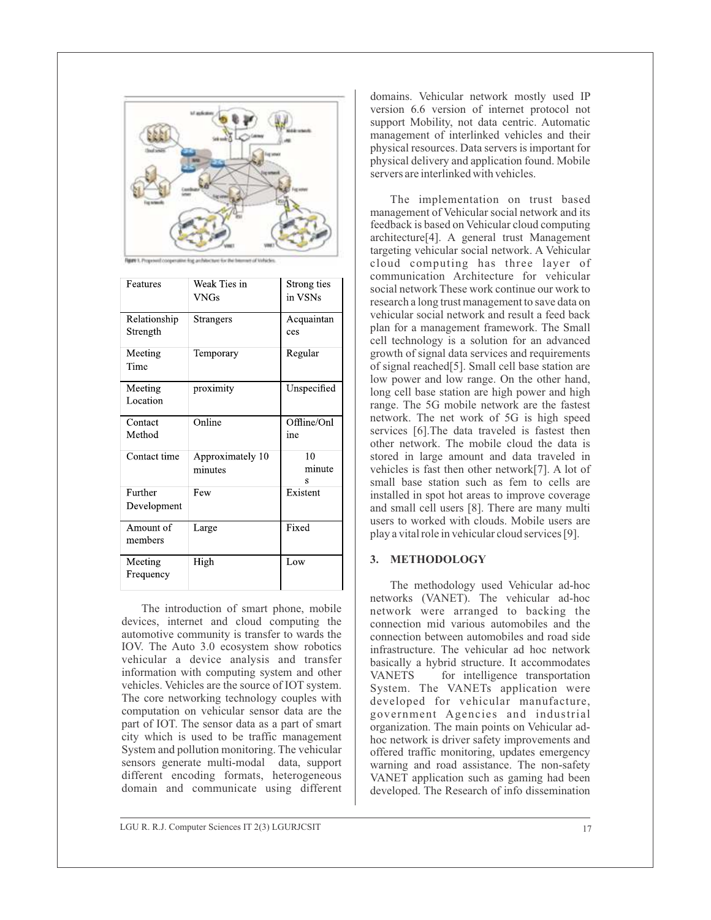

| Features                 | Weak Ties in<br>VNGs        | Strong ties<br>in VSNs |
|--------------------------|-----------------------------|------------------------|
| Relationship<br>Strength | Strangers                   | Acquaintan<br>ces      |
| Meeting<br>Time          | Temporary                   | Regular                |
| Meeting<br>Location      | proximity                   | Unspecified            |
| Contact<br>Method        | Online                      | Offline/Onl<br>ine     |
| Contact time             | Approximately 10<br>minutes | 10<br>minute<br>S      |
| Further<br>Development   | Few                         | Existent               |
| Amount of<br>members     | Large                       | Fixed                  |
| Meeting<br>Frequency     | High                        | Low                    |

The introduction of smart phone, mobile devices, internet and cloud computing the automotive community is transfer to wards the IOV. The Auto 3.0 ecosystem show robotics vehicular a device analysis and transfer information with computing system and other vehicles. Vehicles are the source of IOT system. The core networking technology couples with computation on vehicular sensor data are the part of IOT. The sensor data as a part of smart city which is used to be traffic management System and pollution monitoring. The vehicular sensors generate multi-modal data, support different encoding formats, heterogeneous domain and communicate using different

domains. Vehicular network mostly used IP version 6.6 version of internet protocol not support Mobility, not data centric. Automatic management of interlinked vehicles and their physical resources. Data servers is important for physical delivery and application found. Mobile servers are interlinked with vehicles.

The implementation on trust based management of Vehicular social network and its feedback is based on Vehicular cloud computing architecture[4]. A general trust Management targeting vehicular social network. A Vehicular cloud computing has three layer of communication Architecture for vehicular social network These work continue our work to research a long trust management to save data on vehicular social network and result a feed back plan for a management framework. The Small cell technology is a solution for an advanced growth of signal data services and requirements of signal reached[5]. Small cell base station are low power and low range. On the other hand, long cell base station are high power and high range. The 5G mobile network are the fastest network. The net work of 5G is high speed services [6].The data traveled is fastest then other network. The mobile cloud the data is stored in large amount and data traveled in vehicles is fast then other network[7]. A lot of small base station such as fem to cells are installed in spot hot areas to improve coverage and small cell users [8]. There are many multi users to worked with clouds. Mobile users are play a vital role in vehicular cloud services [9].

### **3. METHODOLOGY**

The methodology used Vehicular ad-hoc networks (VANET). The vehicular ad-hoc network were arranged to backing the connection mid various automobiles and the connection between automobiles and road side infrastructure. The vehicular ad hoc network basically a hybrid structure. It accommodates VANETS for intelligence transportation System. The VANETs application were developed for vehicular manufacture, government Agencies and industrial organization. The main points on Vehicular adhoc network is driver safety improvements and offered traffic monitoring, updates emergency warning and road assistance. The non-safety VANET application such as gaming had been developed. The Research of info dissemination